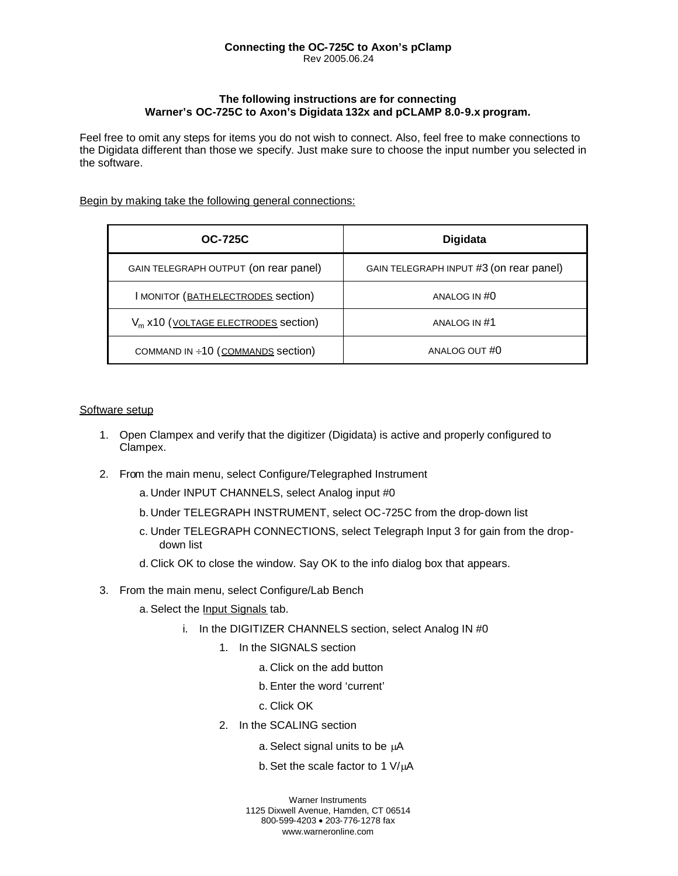### **Connecting the OC-725C to Axon's pClamp** Rev 2005.06.24

## **The following instructions are for connecting Warner's OC-725C to Axon's Digidata 132x and pCLAMP 8.0-9.x program.**

Feel free to omit any steps for items you do not wish to connect. Also, feel free to make connections to the Digidata different than those we specify. Just make sure to choose the input number you selected in the software.

## Begin by making take the following general connections:

| <b>OC-725C</b>                                  | <b>Digidata</b>                         |
|-------------------------------------------------|-----------------------------------------|
| GAIN TELEGRAPH OUTPUT (on rear panel)           | GAIN TELEGRAPH INPUT #3 (on rear panel) |
| <b>I MONITOR (BATH ELECTRODES Section)</b>      | ANALOG IN #0                            |
| V <sub>m</sub> x10 (VOLTAGE ELECTRODES section) | ANALOG IN #1                            |
| COMMAND IN ÷10 (COMMANDS section)               | ANALOG OUT #0                           |

### Software setup

- 1. Open Clampex and verify that the digitizer (Digidata) is active and properly configured to Clampex.
- 2. From the main menu, select Configure/Telegraphed Instrument
	- a. Under INPUT CHANNELS, select Analog input #0
	- b. Under TELEGRAPH INSTRUMENT, select OC-725C from the drop-down list
	- c. Under TELEGRAPH CONNECTIONS, select Telegraph Input 3 for gain from the dropdown list
	- d. Click OK to close the window. Say OK to the info dialog box that appears.
- 3. From the main menu, select Configure/Lab Bench
	- a. Select the Input Signals tab.
		- i. In the DIGITIZER CHANNELS section, select Analog IN #0
			- 1. In the SIGNALS section
				- a. Click on the add button
				- b. Enter the word 'current'
				- c. Click OK
			- 2. In the SCALING section
				- a. Select signal units to be  $\mu$ A
				- b. Set the scale factor to 1  $V/\mu A$

Warner Instruments 1125 Dixwell Avenue, Hamden, CT 06514 800-599-4203 · 203-776-1278 fax www.warneronline.com